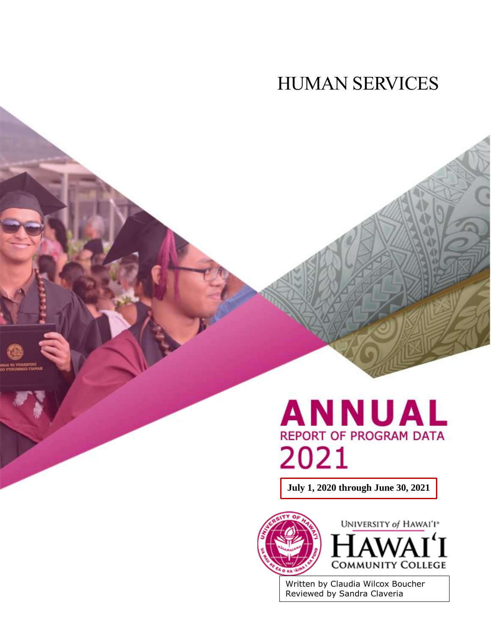# HUMAN SERVICES



**July 1, 2020 through June 30, 2021**





Written by Claudia Wilcox Boucher Reviewed by Sandra Claveria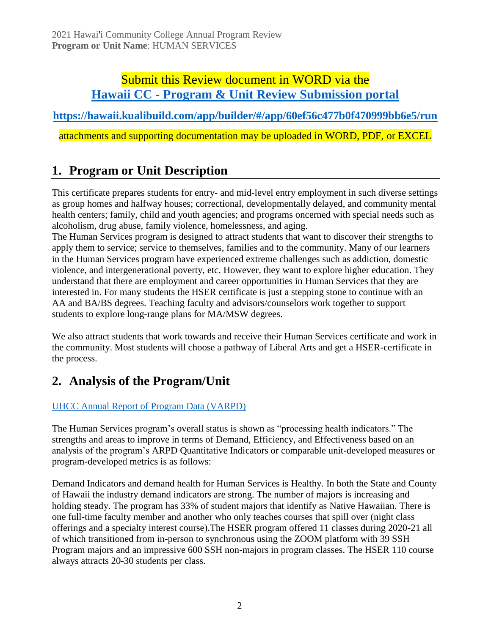### Submit this Review document in WORD via the **Hawaii CC - [Program & Unit Review Submission portal](https://hawaii.kualibuild.com/app/builder/#/app/60ef56c477b0f470999bb6e5/run)**

**<https://hawaii.kualibuild.com/app/builder/#/app/60ef56c477b0f470999bb6e5/run>**

attachments and supporting documentation may be uploaded in WORD, PDF, or EXCEL

## **1. Program or Unit Description**

This certificate prepares students for entry- and mid-level entry employment in such diverse settings as group homes and halfway houses; correctional, developmentally delayed, and community mental health centers; family, child and youth agencies; and programs oncerned with special needs such as alcoholism, drug abuse, family violence, homelessness, and aging.

The Human Services program is designed to attract students that want to discover their strengths to apply them to service; service to themselves, families and to the community. Many of our learners in the Human Services program have experienced extreme challenges such as addiction, domestic violence, and intergenerational poverty, etc. However, they want to explore higher education. They understand that there are employment and career opportunities in Human Services that they are interested in. For many students the HSER certificate is just a stepping stone to continue with an AA and BA/BS degrees. Teaching faculty and advisors/counselors work together to support students to explore long-range plans for MA/MSW degrees.

We also attract students that work towards and receive their Human Services certificate and work in the community. Most students will choose a pathway of Liberal Arts and get a HSER-certificate in the process.

### **2. Analysis of the Program/Unit**

#### [UHCC Annual Report of Program Data \(VARPD\)](https://uhcc.hawaii.edu/varpd/)

The Human Services program's overall status is shown as "processing health indicators." The strengths and areas to improve in terms of Demand, Efficiency, and Effectiveness based on an analysis of the program's ARPD Quantitative Indicators or comparable unit-developed measures or program-developed metrics is as follows:

Demand Indicators and demand health for Human Services is Healthy. In both the State and County of Hawaii the industry demand indicators are strong. The number of majors is increasing and holding steady. The program has 33% of student majors that identify as Native Hawaiian. There is one full-time faculty member and another who only teaches courses that spill over (night class offerings and a specialty interest course).The HSER program offered 11 classes during 2020-21 all of which transitioned from in-person to synchronous using the ZOOM platform with 39 SSH Program majors and an impressive 600 SSH non-majors in program classes. The HSER 110 course always attracts 20-30 students per class.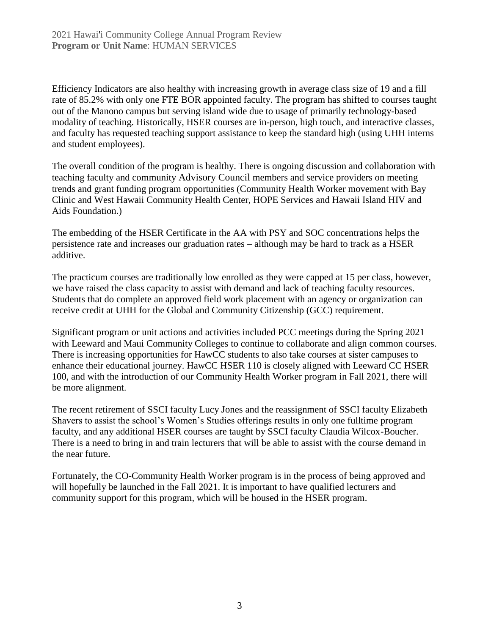Efficiency Indicators are also healthy with increasing growth in average class size of 19 and a fill rate of 85.2% with only one FTE BOR appointed faculty. The program has shifted to courses taught out of the Manono campus but serving island wide due to usage of primarily technology-based modality of teaching. Historically, HSER courses are in-person, high touch, and interactive classes, and faculty has requested teaching support assistance to keep the standard high (using UHH interns and student employees).

The overall condition of the program is healthy. There is ongoing discussion and collaboration with teaching faculty and community Advisory Council members and service providers on meeting trends and grant funding program opportunities (Community Health Worker movement with Bay Clinic and West Hawaii Community Health Center, HOPE Services and Hawaii Island HIV and Aids Foundation.)

The embedding of the HSER Certificate in the AA with PSY and SOC concentrations helps the persistence rate and increases our graduation rates – although may be hard to track as a HSER additive.

The practicum courses are traditionally low enrolled as they were capped at 15 per class, however, we have raised the class capacity to assist with demand and lack of teaching faculty resources. Students that do complete an approved field work placement with an agency or organization can receive credit at UHH for the Global and Community Citizenship (GCC) requirement.

Significant program or unit actions and activities included PCC meetings during the Spring 2021 with Leeward and Maui Community Colleges to continue to collaborate and align common courses. There is increasing opportunities for HawCC students to also take courses at sister campuses to enhance their educational journey. HawCC HSER 110 is closely aligned with Leeward CC HSER 100, and with the introduction of our Community Health Worker program in Fall 2021, there will be more alignment.

The recent retirement of SSCI faculty Lucy Jones and the reassignment of SSCI faculty Elizabeth Shavers to assist the school's Women's Studies offerings results in only one fulltime program faculty, and any additional HSER courses are taught by SSCI faculty Claudia Wilcox-Boucher. There is a need to bring in and train lecturers that will be able to assist with the course demand in the near future.

Fortunately, the CO-Community Health Worker program is in the process of being approved and will hopefully be launched in the Fall 2021. It is important to have qualified lecturers and community support for this program, which will be housed in the HSER program.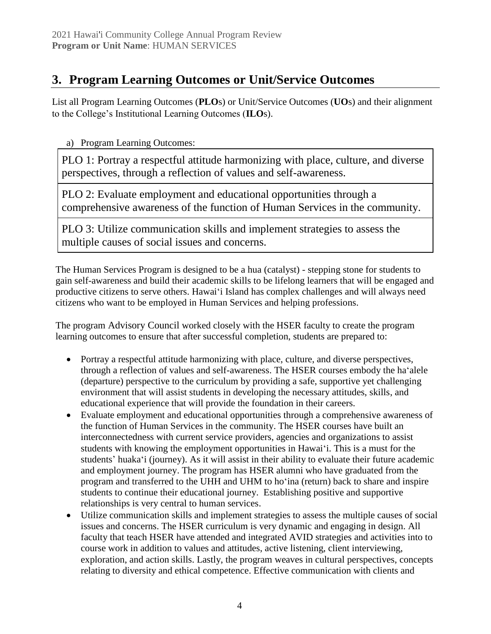## **3. Program Learning Outcomes or Unit/Service Outcomes**

List all Program Learning Outcomes (**PLO**s) or Unit/Service Outcomes (**UO**s) and their alignment to the College's Institutional Learning Outcomes (**ILO**s).

a) Program Learning Outcomes:

PLO 1: Portray a respectful attitude harmonizing with place, culture, and diverse perspectives, through a reflection of values and self-awareness.

PLO 2: Evaluate employment and educational opportunities through a comprehensive awareness of the function of Human Services in the community.

PLO 3: Utilize communication skills and implement strategies to assess the multiple causes of social issues and concerns.

The Human Services Program is designed to be a hua (catalyst) - stepping stone for students to gain self-awareness and build their academic skills to be lifelong learners that will be engaged and productive citizens to serve others. Hawaiʻi Island has complex challenges and will always need citizens who want to be employed in Human Services and helping professions.

The program Advisory Council worked closely with the HSER faculty to create the program learning outcomes to ensure that after successful completion, students are prepared to:

- Portray a respectful attitude harmonizing with place, culture, and diverse perspectives, through a reflection of values and self-awareness. The HSER courses embody the haʻalele (departure) perspective to the curriculum by providing a safe, supportive yet challenging environment that will assist students in developing the necessary attitudes, skills, and educational experience that will provide the foundation in their careers.
- Evaluate employment and educational opportunities through a comprehensive awareness of the function of Human Services in the community. The HSER courses have built an interconnectedness with current service providers, agencies and organizations to assist students with knowing the employment opportunities in Hawaiʻi. This is a must for the students' huakaʻi (journey). As it will assist in their ability to evaluate their future academic and employment journey. The program has HSER alumni who have graduated from the program and transferred to the UHH and UHM to hoʻina (return) back to share and inspire students to continue their educational journey. Establishing positive and supportive relationships is very central to human services.
- Utilize communication skills and implement strategies to assess the multiple causes of social issues and concerns. The HSER curriculum is very dynamic and engaging in design. All faculty that teach HSER have attended and integrated AVID strategies and activities into to course work in addition to values and attitudes, active listening, client interviewing, exploration, and action skills. Lastly, the program weaves in cultural perspectives, concepts relating to diversity and ethical competence. Effective communication with clients and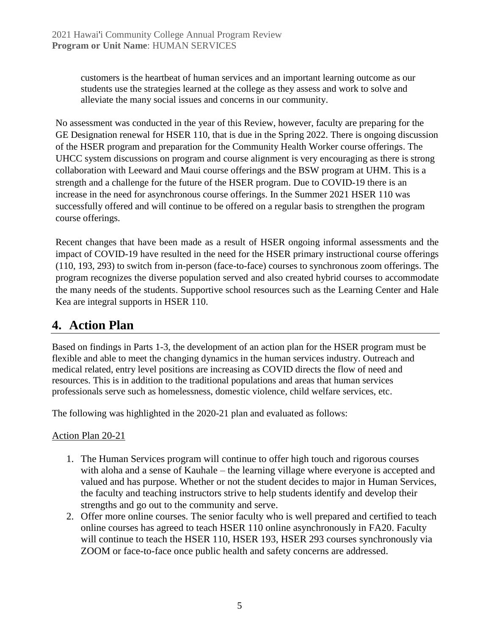customers is the heartbeat of human services and an important learning outcome as our students use the strategies learned at the college as they assess and work to solve and alleviate the many social issues and concerns in our community.

No assessment was conducted in the year of this Review, however, faculty are preparing for the GE Designation renewal for HSER 110, that is due in the Spring 2022. There is ongoing discussion of the HSER program and preparation for the Community Health Worker course offerings. The UHCC system discussions on program and course alignment is very encouraging as there is strong collaboration with Leeward and Maui course offerings and the BSW program at UHM. This is a strength and a challenge for the future of the HSER program. Due to COVID-19 there is an increase in the need for asynchronous course offerings. In the Summer 2021 HSER 110 was successfully offered and will continue to be offered on a regular basis to strengthen the program course offerings.

Recent changes that have been made as a result of HSER ongoing informal assessments and the impact of COVID-19 have resulted in the need for the HSER primary instructional course offerings (110, 193, 293) to switch from in-person (face-to-face) courses to synchronous zoom offerings. The program recognizes the diverse population served and also created hybrid courses to accommodate the many needs of the students. Supportive school resources such as the Learning Center and Hale Kea are integral supports in HSER 110.

### **4. Action Plan**

Based on findings in Parts 1-3, the development of an action plan for the HSER program must be flexible and able to meet the changing dynamics in the human services industry. Outreach and medical related, entry level positions are increasing as COVID directs the flow of need and resources. This is in addition to the traditional populations and areas that human services professionals serve such as homelessness, domestic violence, child welfare services, etc.

The following was highlighted in the 2020-21 plan and evaluated as follows:

#### Action Plan 20-21

- 1. The Human Services program will continue to offer high touch and rigorous courses with aloha and a sense of Kauhale – the learning village where everyone is accepted and valued and has purpose. Whether or not the student decides to major in Human Services, the faculty and teaching instructors strive to help students identify and develop their strengths and go out to the community and serve.
- 2. Offer more online courses. The senior faculty who is well prepared and certified to teach online courses has agreed to teach HSER 110 online asynchronously in FA20. Faculty will continue to teach the HSER 110, HSER 193, HSER 293 courses synchronously via ZOOM or face-to-face once public health and safety concerns are addressed.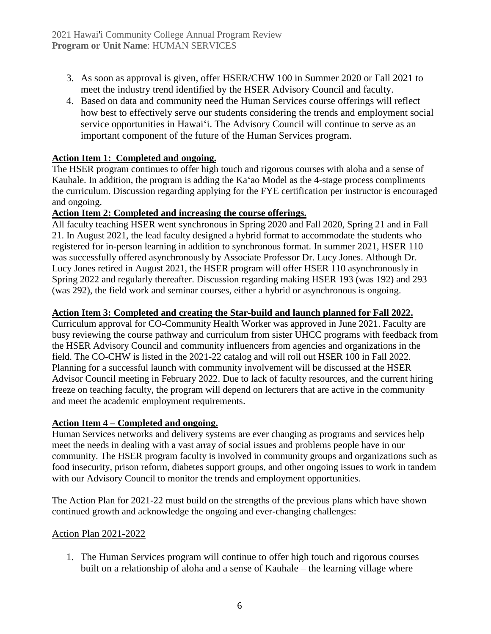- 3. As soon as approval is given, offer HSER/CHW 100 in Summer 2020 or Fall 2021 to meet the industry trend identified by the HSER Advisory Council and faculty.
- 4. Based on data and community need the Human Services course offerings will reflect how best to effectively serve our students considering the trends and employment social service opportunities in Hawaiʻi. The Advisory Council will continue to serve as an important component of the future of the Human Services program.

#### **Action Item 1: Completed and ongoing.**

The HSER program continues to offer high touch and rigorous courses with aloha and a sense of Kauhale. In addition, the program is adding the Kaʻao Model as the 4-stage process compliments the curriculum. Discussion regarding applying for the FYE certification per instructor is encouraged and ongoing.

#### **Action Item 2: Completed and increasing the course offerings.**

All faculty teaching HSER went synchronous in Spring 2020 and Fall 2020, Spring 21 and in Fall 21. In August 2021, the lead faculty designed a hybrid format to accommodate the students who registered for in-person learning in addition to synchronous format. In summer 2021, HSER 110 was successfully offered asynchronously by Associate Professor Dr. Lucy Jones. Although Dr. Lucy Jones retired in August 2021, the HSER program will offer HSER 110 asynchronously in Spring 2022 and regularly thereafter. Discussion regarding making HSER 193 (was 192) and 293 (was 292), the field work and seminar courses, either a hybrid or asynchronous is ongoing.

#### **Action Item 3: Completed and creating the Star-build and launch planned for Fall 2022.**

Curriculum approval for CO-Community Health Worker was approved in June 2021. Faculty are busy reviewing the course pathway and curriculum from sister UHCC programs with feedback from the HSER Advisory Council and community influencers from agencies and organizations in the field. The CO-CHW is listed in the 2021-22 catalog and will roll out HSER 100 in Fall 2022. Planning for a successful launch with community involvement will be discussed at the HSER Advisor Council meeting in February 2022. Due to lack of faculty resources, and the current hiring freeze on teaching faculty, the program will depend on lecturers that are active in the community and meet the academic employment requirements.

#### **Action Item 4 – Completed and ongoing.**

Human Services networks and delivery systems are ever changing as programs and services help meet the needs in dealing with a vast array of social issues and problems people have in our community. The HSER program faculty is involved in community groups and organizations such as food insecurity, prison reform, diabetes support groups, and other ongoing issues to work in tandem with our Advisory Council to monitor the trends and employment opportunities.

The Action Plan for 2021-22 must build on the strengths of the previous plans which have shown continued growth and acknowledge the ongoing and ever-changing challenges:

#### Action Plan 2021-2022

1. The Human Services program will continue to offer high touch and rigorous courses built on a relationship of aloha and a sense of Kauhale – the learning village where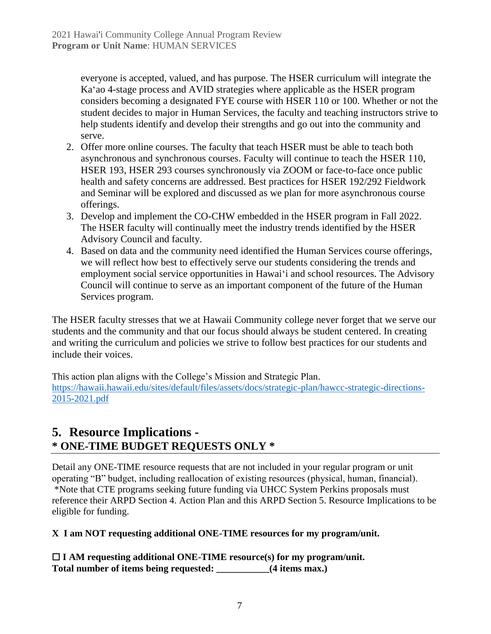everyone is accepted, valued, and has purpose. The HSER curriculum will integrate the Kaʻao 4-stage process and AVID strategies where applicable as the HSER program considers becoming a designated FYE course with HSER 110 or 100. Whether or not the student decides to major in Human Services, the faculty and teaching instructors strive to help students identify and develop their strengths and go out into the community and serve.

- 2. Offer more online courses. The faculty that teach HSER must be able to teach both asynchronous and synchronous courses. Faculty will continue to teach the HSER 110, HSER 193, HSER 293 courses synchronously via ZOOM or face-to-face once public health and safety concerns are addressed. Best practices for HSER 192/292 Fieldwork and Seminar will be explored and discussed as we plan for more asynchronous course offerings.
- 3. Develop and implement the CO-CHW embedded in the HSER program in Fall 2022. The HSER faculty will continually meet the industry trends identified by the HSER Advisory Council and faculty.
- 4. Based on data and the community need identified the Human Services course offerings, we will reflect how best to effectively serve our students considering the trends and employment social service opportunities in Hawaiʻi and school resources. The Advisory Council will continue to serve as an important component of the future of the Human Services program.

The HSER faculty stresses that we at Hawaii Community college never forget that we serve our students and the community and that our focus should always be student centered. In creating and writing the curriculum and policies we strive to follow best practices for our students and include their voices.

This action plan aligns with the College's Mission and Strategic Plan. [https://hawaii.hawaii.edu/sites/default/files/assets/docs/strategic-plan/hawcc-strategic-directions-](https://hawaii.hawaii.edu/sites/default/files/assets/docs/strategic-plan/hawcc-strategic-directions-2015-2021.pdf)[2015-2021.pdf](https://hawaii.hawaii.edu/sites/default/files/assets/docs/strategic-plan/hawcc-strategic-directions-2015-2021.pdf)

### **5. Resource Implications - \* ONE-TIME BUDGET REQUESTS ONLY \***

Detail any ONE-TIME resource requests that are not included in your regular program or unit operating "B" budget, including reallocation of existing resources (physical, human, financial). \*Note that CTE programs seeking future funding via UHCC System Perkins proposals must reference their ARPD Section 4. Action Plan and this ARPD Section 5. Resource Implications to be eligible for funding.

#### **X I am NOT requesting additional ONE-TIME resources for my program/unit.**

☐ **I AM requesting additional ONE-TIME resource(s) for my program/unit. Total number of items being requested: \_\_\_\_\_\_\_\_\_\_\_(4 items max.)**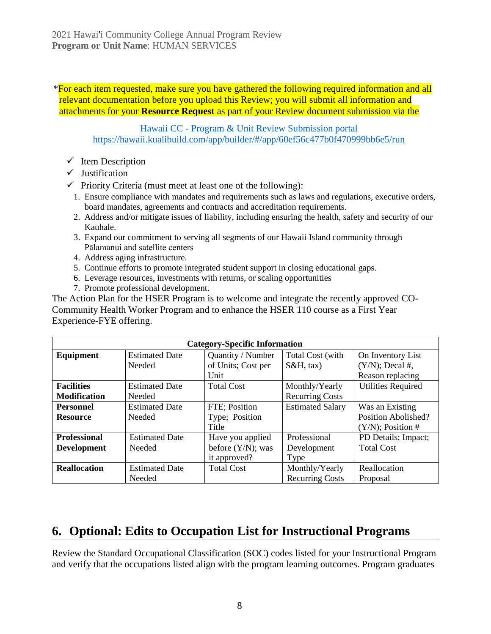\*For each item requested, make sure you have gathered the following required information and all relevant documentation before you upload this Review; you will submit all information and attachments for your **Resource Request** as part of your Review document submission via the

Hawaii CC - [Program & Unit Review Submission portal](https://hawaii.kualibuild.com/app/builder/#/app/60ef56c477b0f470999bb6e5/run) <https://hawaii.kualibuild.com/app/builder/#/app/60ef56c477b0f470999bb6e5/run>

- $\checkmark$  Item Description
- ✓ Justification
- $\checkmark$  Priority Criteria (must meet at least one of the following):
	- 1. Ensure compliance with mandates and requirements such as laws and regulations, executive orders, board mandates, agreements and contracts and accreditation requirements.
	- 2. Address and/or mitigate issues of liability, including ensuring the health, safety and security of our Kauhale.
	- 3. Expand our commitment to serving all segments of our Hawaii Island community through Pālamanui and satellite centers
	- 4. Address aging infrastructure.
	- 5. Continue efforts to promote integrated student support in closing educational gaps.
	- 6. Leverage resources, investments with returns, or scaling opportunities
	- 7. Promote professional development.

The Action Plan for the HSER Program is to welcome and integrate the recently approved CO-Community Health Worker Program and to enhance the HSER 110 course as a First Year Experience-FYE offering.

| <b>Category-Specific Information</b> |                       |                      |                         |                           |
|--------------------------------------|-----------------------|----------------------|-------------------------|---------------------------|
| Equipment                            | <b>Estimated Date</b> | Quantity / Number    | Total Cost (with        | On Inventory List         |
|                                      | Needed                | of Units; Cost per   | $S&H, \text{tax}$       | $(Y/N)$ ; Decal #,        |
|                                      |                       | Unit                 |                         | Reason replacing          |
| <b>Facilities</b>                    | <b>Estimated Date</b> | <b>Total Cost</b>    | Monthly/Yearly          | <b>Utilities Required</b> |
| <b>Modification</b>                  | Needed                |                      | <b>Recurring Costs</b>  |                           |
| <b>Personnel</b>                     | <b>Estimated Date</b> | FTE; Position        | <b>Estimated Salary</b> | Was an Existing           |
| <b>Resource</b>                      | Needed                | Type; Position       |                         | Position Abolished?       |
|                                      |                       | Title                |                         | $(Y/N)$ ; Position #      |
| <b>Professional</b>                  | <b>Estimated Date</b> | Have you applied     | Professional            | PD Details; Impact;       |
| <b>Development</b>                   | Needed                | before $(Y/N)$ ; was | Development             | <b>Total Cost</b>         |
|                                      |                       | it approved?         | Type                    |                           |
| <b>Reallocation</b>                  | <b>Estimated Date</b> | <b>Total Cost</b>    | Monthly/Yearly          | Reallocation              |
|                                      | Needed                |                      | <b>Recurring Costs</b>  | Proposal                  |

### **6. Optional: Edits to Occupation List for Instructional Programs**

Review the Standard Occupational Classification (SOC) codes listed for your Instructional Program and verify that the occupations listed align with the program learning outcomes. Program graduates